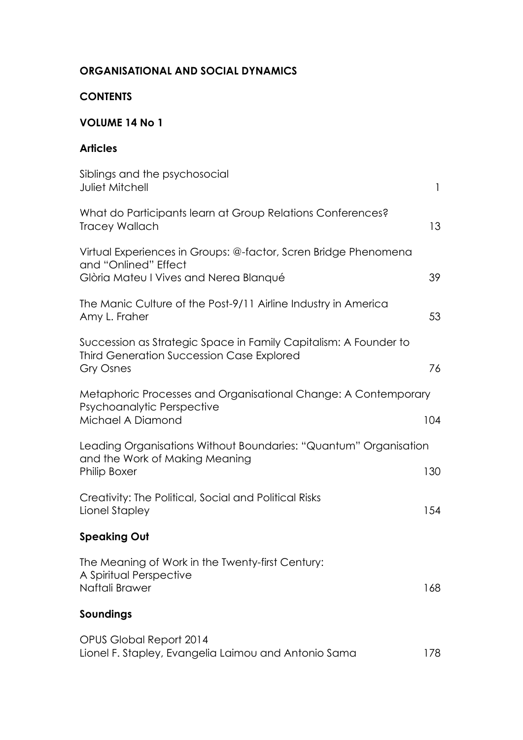## **ORGANISATIONAL AND SOCIAL DYNAMICS**

### **CONTENTS**

#### **VOLUME 14 No 1**

### **Articles**

| Siblings and the psychosocial<br><b>Juliet Mitchell</b>                                                                                  | $\mathbf{I}$ |
|------------------------------------------------------------------------------------------------------------------------------------------|--------------|
| What do Participants learn at Group Relations Conferences?<br><b>Tracey Wallach</b>                                                      | 13           |
| Virtual Experiences in Groups: @-factor, Scren Bridge Phenomena<br>and "Onlined" Effect<br>Glòria Mateu I Vives and Nerea Blanqué        | 39           |
| The Manic Culture of the Post-9/11 Airline Industry in America<br>Amy L. Fraher                                                          | 53           |
| Succession as Strategic Space in Family Capitalism: A Founder to<br><b>Third Generation Succession Case Explored</b><br><b>Gry Osnes</b> | 76           |
| Metaphoric Processes and Organisational Change: A Contemporary<br>Psychoanalytic Perspective<br>Michael A Diamond                        | 104          |
| Leading Organisations Without Boundaries: "Quantum" Organisation<br>and the Work of Making Meaning<br><b>Philip Boxer</b>                | 130          |
| Creativity: The Political, Social and Political Risks<br>Lionel Stapley                                                                  | 154          |
| <b>Speaking Out</b>                                                                                                                      |              |
| The Meaning of Work in the Twenty-first Century:<br>A Spiritual Perspective<br>Naftali Brawer                                            | 168          |
| Soundings                                                                                                                                |              |
| OPUS Global Report 2014<br>Lionel F. Stapley, Evangelia Laimou and Antonio Sama                                                          | 178          |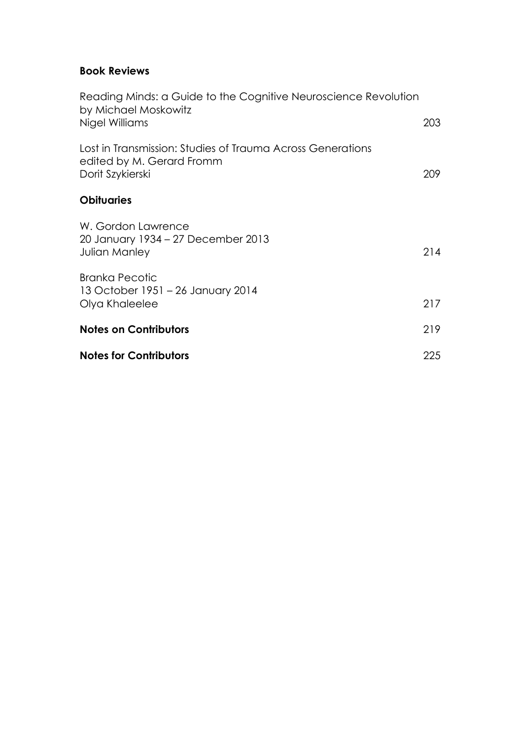### **Book Reviews**

| <b>Notes for Contributors</b>                                                                               | 225  |
|-------------------------------------------------------------------------------------------------------------|------|
| <b>Notes on Contributors</b>                                                                                | 219  |
| <b>Branka Pecotic</b><br>13 October 1951 - 26 January 2014<br>Olya Khaleelee                                | 217  |
| W. Gordon Lawrence<br>20 January 1934 – 27 December 2013<br>Julian Manley                                   | 214  |
| <b>Obituaries</b>                                                                                           |      |
| Lost in Transmission: Studies of Trauma Across Generations<br>edited by M. Gerard Fromm<br>Dorit Szykierski | 209. |
| Reading Minds: a Guide to the Cognitive Neuroscience Revolution<br>by Michael Moskowitz<br>Nigel Williams   | 203  |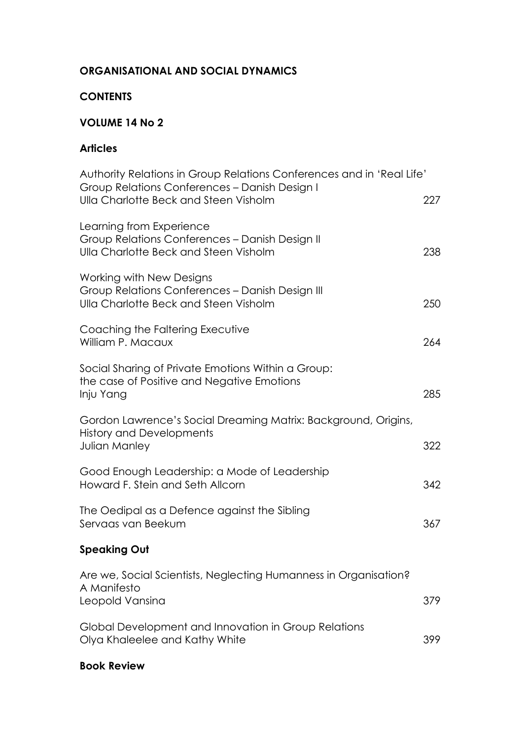# **ORGANISATIONAL AND SOCIAL DYNAMICS**

### **CONTENTS**

# **VOLUME 14 No 2**

## **Articles**

| Authority Relations in Group Relations Conferences and in 'Real Life'<br>Group Relations Conferences - Danish Design I<br>Ulla Charlotte Beck and Steen Visholm | 227 |
|-----------------------------------------------------------------------------------------------------------------------------------------------------------------|-----|
|                                                                                                                                                                 |     |
| Learning from Experience<br>Group Relations Conferences - Danish Design II<br>Ulla Charlotte Beck and Steen Visholm                                             | 238 |
| Working with New Designs<br>Group Relations Conferences - Danish Design III<br>Ulla Charlotte Beck and Steen Visholm                                            | 250 |
| Coaching the Faltering Executive<br>William P. Macaux                                                                                                           | 264 |
| Social Sharing of Private Emotions Within a Group:<br>the case of Positive and Negative Emotions<br>Inju Yang                                                   | 285 |
| Gordon Lawrence's Social Dreaming Matrix: Background, Origins,<br><b>History and Developments</b><br>Julian Manley                                              | 322 |
| Good Enough Leadership: a Mode of Leadership<br>Howard F. Stein and Seth Allcorn                                                                                | 342 |
| The Oedipal as a Defence against the Sibling<br>Servaas van Beekum                                                                                              | 367 |
| <b>Speaking Out</b>                                                                                                                                             |     |
| Are we, Social Scientists, Neglecting Humanness in Organisation?<br>A Manifesto<br>Leopold Vansina                                                              | 379 |
| Global Development and Innovation in Group Relations<br>Olya Khaleelee and Kathy White                                                                          | 399 |

### **Book Review**